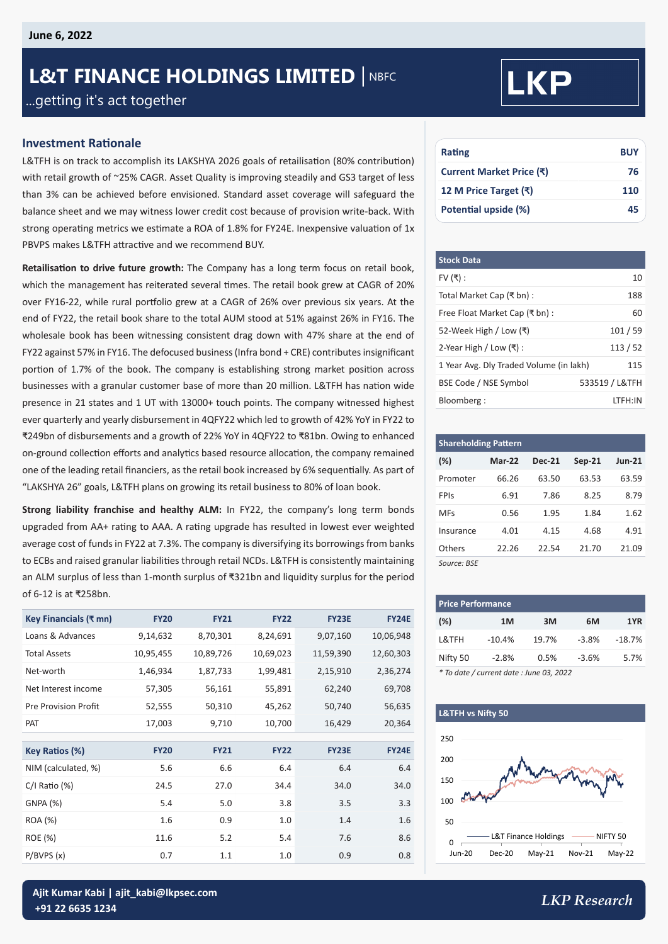# **L&T FINANCE HOLDINGS LIMITED | NBFC** ...getting it's act together

# **Investment Rationale**

L&TFH is on track to accomplish its LAKSHYA 2026 goals of retailisation (80% contribution) with retail growth of ~25% CAGR. Asset Quality is improving steadily and GS3 target of less than 3% can be achieved before envisioned. Standard asset coverage will safeguard the balance sheet and we may witness lower credit cost because of provision write-back. With strong operating metrics we estimate a ROA of 1.8% for FY24E. Inexpensive valuation of 1x PBVPS makes L&TFH attractive and we recommend BUY.

**Retailisation to drive future growth:** The Company has a long term focus on retail book, which the management has reiterated several times. The retail book grew at CAGR of 20% over FY16-22, while rural portfolio grew at a CAGR of 26% over previous six years. At the end of FY22, the retail book share to the total AUM stood at 51% against 26% in FY16. The wholesale book has been witnessing consistent drag down with 47% share at the end of FY22 against 57% in FY16. The defocused business (Infra bond + CRE) contributes insignificant portion of 1.7% of the book. The company is establishing strong market position across businesses with a granular customer base of more than 20 million. L&TFH has nation wide presence in 21 states and 1 UT with 13000+ touch points. The company witnessed highest ever quarterly and yearly disbursement in 4QFY22 which led to growth of 42% YoY in FY22 to ₹249bn of disbursements and a growth of 22% YoY in 4QFY22 to ₹81bn. Owing to enhanced on-ground collection efforts and analytics based resource allocation, the company remained one of the leading retail financiers, as the retail book increased by 6% sequentially. As part of "LAKSHYA 26" goals, L&TFH plans on growing its retail business to 80% of loan book.

**Strong liability franchise and healthy ALM:** In FY22, the company's long term bonds upgraded from AA+ rating to AAA. A rating upgrade has resulted in lowest ever weighted average cost of funds in FY22 at 7.3%. The company is diversifying its borrowings from banks to ECBs and raised granular liabilities through retail NCDs. L&TFH is consistently maintaining an ALM surplus of less than 1-month surplus of ₹321bn and liquidity surplus for the period of 6-12 is at ₹258bn.

| Key Financials (₹ mn)       | <b>FY20</b> | <b>FY21</b> | <b>FY22</b> | <b>FY23E</b> | <b>FY24E</b> |
|-----------------------------|-------------|-------------|-------------|--------------|--------------|
| Loans & Advances            | 9,14,632    | 8,70,301    | 8,24,691    | 9,07,160     | 10,06,948    |
| <b>Total Assets</b>         | 10,95,455   | 10,89,726   | 10,69,023   | 11,59,390    | 12,60,303    |
| Net-worth                   | 1,46,934    | 1,87,733    | 1,99,481    | 2,15,910     | 2,36,274     |
| Net Interest income         | 57,305      | 56,161      | 55,891      | 62,240       | 69,708       |
| <b>Pre Provision Profit</b> | 52,555      | 50,310      | 45,262      | 50,740       | 56,635       |
| <b>PAT</b>                  | 17,003      | 9,710       | 10,700      | 16,429       | 20,364       |
|                             |             |             |             |              |              |
| Key Ratios (%)              | <b>FY20</b> | <b>FY21</b> | <b>FY22</b> | FY23E        | <b>FY24E</b> |
| NIM (calculated, %)         | 5.6         | 6.6         | 6.4         | 6.4          | 6.4          |
| $C/I$ Ratio $(\%)$          | 24.5        | 27.0        | 34.4        | 34.0         | 34.0         |
| GNPA (%)                    | 5.4         | 5.0         | 3.8         | 3.5          | 3.3          |
| ROA (%)                     | 1.6         | 0.9         | 1.0         | 1.4          | 1.6          |
| <b>ROE</b> (%)              | 11.6        | 5.2         | 5.4         | 7.6          | 8.6          |
| P/BVPS(x)                   | 0.7         | 1.1         | 1.0         | 0.9          | 0.8          |

# **LKP**

| Rating                   | <b>BUY</b> |
|--------------------------|------------|
| Current Market Price (₹) | 76         |
| 12 M Price Target (₹)    | 110        |
| Potential upside (%)     | 45         |

| <b>Stock Data</b>                       |                |
|-----------------------------------------|----------------|
| FV $($ ₹) :                             | 10             |
| Total Market Cap (₹ bn) :               | 188            |
| Free Float Market Cap (₹ bn):           | 60             |
| 52-Week High / Low (₹)                  | 101/59         |
| 2-Year High / Low $($ ₹ $)$ :           | 113/52         |
| 1 Year Avg. Dly Traded Volume (in lakh) | 115            |
| BSE Code / NSE Symbol                   | 533519 / L&TFH |
| Bloomberg:                              | LTFH:IN        |

| <b>Shareholding Pattern</b> |          |               |          |               |  |  |  |
|-----------------------------|----------|---------------|----------|---------------|--|--|--|
| $(\%)$                      | $Mar-22$ | <b>Dec-21</b> | $Sep-21$ | <b>Jun-21</b> |  |  |  |
| Promoter                    | 66.26    | 63.50         | 63.53    | 63.59         |  |  |  |
| FPIs                        | 6.91     | 7.86          | 8.25     | 8.79          |  |  |  |
| <b>MFs</b>                  | 0.56     | 1.95          | 1.84     | 1.62          |  |  |  |
| Insurance                   | 4.01     | 4.15          | 4.68     | 4.91          |  |  |  |
| Others                      | 22.26    | 22.54         | 21.70    | 21.09         |  |  |  |
| Source: BSE                 |          |               |          |               |  |  |  |

| <b>Price Performance</b>            |          |       |         |          |  |  |  |
|-------------------------------------|----------|-------|---------|----------|--|--|--|
| (%)                                 | 1M       | 3M    | 6М      | 1YR      |  |  |  |
| L&TFH                               | $-10.4%$ | 19.7% | $-3.8%$ | $-18.7%$ |  |  |  |
| Nifty 50                            | $-2.8%$  | 0.5%  | $-3.6%$ | 5.7%     |  |  |  |
| $\cdots$ $\cdots$ $\cdots$ $\cdots$ |          |       |         |          |  |  |  |

*\* To date / current date : June 03, 2022*

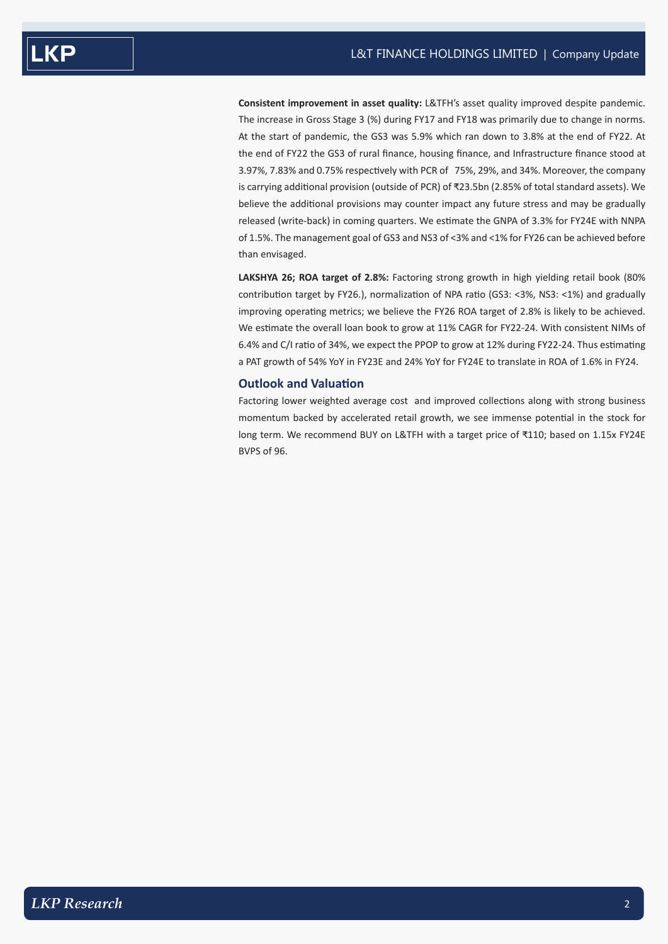**Consistent improvement in asset quality:** L&TFH's asset quality improved despite pandemic. The increase in Gross Stage 3 (%) during FY17 and FY18 was primarily due to change in norms. At the start of pandemic, the GS3 was 5.9% which ran down to 3.8% at the end of FY22. At the end of FY22 the GS3 of rural finance, housing finance, and Infrastructure finance stood at 3.97%, 7.83% and 0.75% respectively with PCR of 75%, 29%, and 34%. Moreover, the company is carrying additional provision (outside of PCR) of ₹23.5bn (2.85% of total standard assets). We believe the additional provisions may counter impact any future stress and may be gradually released (write-back) in coming quarters. We estimate the GNPA of 3.3% for FY24E with NNPA of 1.5%. The management goal of GS3 and NS3 of <3% and <1% for FY26 can be achieved before than envisaged.

**LAKSHYA 26; ROA target of 2.8%:** Factoring strong growth in high yielding retail book (80% contribution target by FY26.), normalization of NPA ratio (GS3: <3%, NS3: <1%) and gradually improving operating metrics; we believe the FY26 ROA target of 2.8% is likely to be achieved. We estimate the overall loan book to grow at 11% CAGR for FY22-24. With consistent NIMs of 6.4% and C/I ratio of 34%, we expect the PPOP to grow at 12% during FY22-24. Thus estimating a PAT growth of 54% YoY in FY23E and 24% YoY for FY24E to translate in ROA of 1.6% in FY24.

# **Outlook and Valuation**

Factoring lower weighted average cost and improved collections along with strong business momentum backed by accelerated retail growth, we see immense potential in the stock for long term. We recommend BUY on L&TFH with a target price of ₹110; based on 1.15x FY24E BVPS of 96.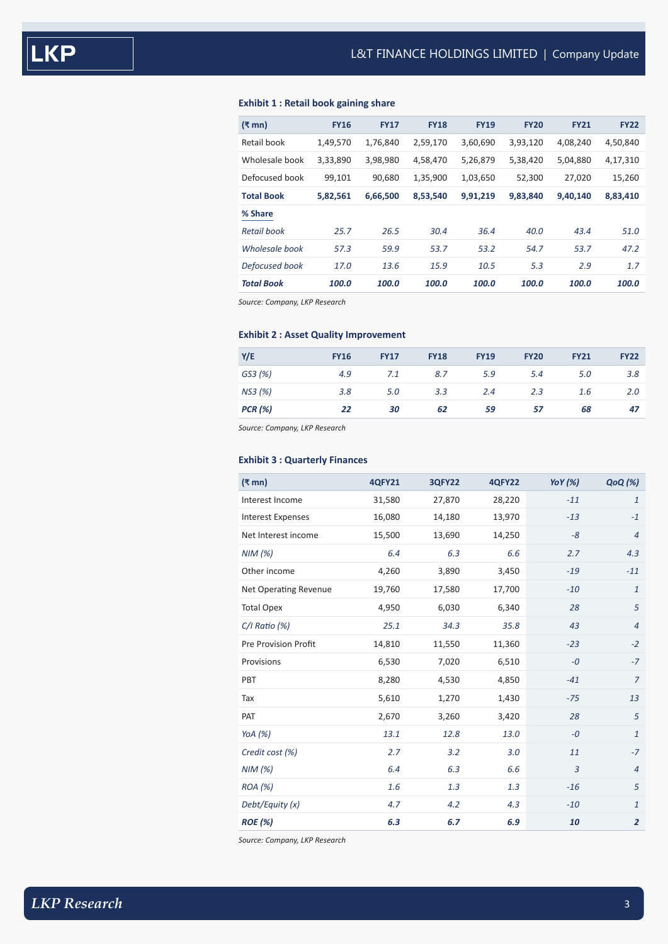# **Exhibit 1 : Retail book gaining share**

| (₹ mn)            | <b>FY16</b> | <b>FY17</b> | <b>FY18</b> | <b>FY19</b> | <b>FY20</b> | <b>FY21</b> | <b>FY22</b> |
|-------------------|-------------|-------------|-------------|-------------|-------------|-------------|-------------|
| Retail book       | 1,49,570    | 1,76,840    | 2,59,170    | 3,60,690    | 3,93,120    | 4,08,240    | 4,50,840    |
| Wholesale book    | 3,33,890    | 3,98,980    | 4,58,470    | 5,26,879    | 5,38,420    | 5,04,880    | 4,17,310    |
| Defocused book    | 99,101      | 90,680      | 1,35,900    | 1,03,650    | 52,300      | 27,020      | 15,260      |
| <b>Total Book</b> | 5,82,561    | 6,66,500    | 8,53,540    | 9,91,219    | 9,83,840    | 9,40,140    | 8,83,410    |
| % Share           |             |             |             |             |             |             |             |
| Retail book       | 25.7        | 26.5        | 30.4        | 36.4        | 40.0        | 43.4        | 51.0        |
| Wholesale book    | 57.3        | 59.9        | 53.7        | 53.2        | 54.7        | 53.7        | 47.2        |
| Defocused book    | 17.0        | 13.6        | 15.9        | 10.5        | 5.3         | 2.9         | 1.7         |
| <b>Total Book</b> | 100.0       | 100.0       | 100.0       | 100.0       | 100.0       | 100.0       | 100.0       |
|                   |             |             |             |             |             |             |             |

*Source: Company, LKP Research*

# **Exhibit 2 : Asset Quality Improvement**

| Y/E            | <b>FY16</b> | <b>FY17</b> | <b>FY18</b> | <b>FY19</b> | <b>FY20</b> | <b>FY21</b> | <b>FY22</b> |
|----------------|-------------|-------------|-------------|-------------|-------------|-------------|-------------|
| GS3 (%)        | 4.9         | 7.1         | 8.7         | 5.9         | 5.4         | 5.0         | 3.8         |
| NS3 (%)        | 3.8         | 5.0         | 3.3         | 2.4         | 2.3         | 1.6         | 2.0         |
| <b>PCR</b> (%) | 22          | 30          | 62          | 59          | 57          | 68          | 47          |

*Source: Company, LKP Research*

# **Exhibit 3 : Quarterly Finances**

| $(\bar{\bar{\mathbf{x}}}$ mn) | <b>4QFY21</b> | <b>3QFY22</b> | <b>4QFY22</b> | YoY $(%)$ | <b>QoQ</b> (%) |
|-------------------------------|---------------|---------------|---------------|-----------|----------------|
| Interest Income               | 31,580        | 27,870        | 28,220        | $-11$     | $\mathbf{1}$   |
| <b>Interest Expenses</b>      | 16,080        | 14,180        | 13,970        | $-13$     | $-1$           |
| Net Interest income           | 15,500        | 13,690        | 14,250        | $-8$      | $\overline{4}$ |
| NIM(%)                        | 6.4           | 6.3           | 6.6           | 2.7       | 4.3            |
| Other income                  | 4,260         | 3,890         | 3,450         | $-19$     | $-11$          |
| <b>Net Operating Revenue</b>  | 19,760        | 17,580        | 17,700        | $-10$     | $\mathbf{1}$   |
| <b>Total Opex</b>             | 4,950         | 6,030         | 6,340         | 28        | 5              |
| $C/I$ Ratio $(%)$             | 25.1          | 34.3          | 35.8          | 43        | $\overline{4}$ |
| Pre Provision Profit          | 14,810        | 11,550        | 11,360        | $-23$     | $-2$           |
| Provisions                    | 6,530         | 7,020         | 6,510         | $-0$      | $-7$           |
| PBT                           | 8,280         | 4,530         | 4,850         | $-41$     | $\overline{7}$ |
| Tax                           | 5,610         | 1,270         | 1,430         | $-75$     | 13             |
| PAT                           | 2,670         | 3,260         | 3,420         | 28        | 5              |
| YoA $(%)$                     | 13.1          | 12.8          | 13.0          | $-0$      | $\mathbf{1}$   |
| Credit cost (%)               | 2.7           | 3.2           | 3.0           | 11        | $-7$           |
| NIM(%)                        | 6.4           | 6.3           | 6.6           | 3         | $\overline{4}$ |
| ROA (%)                       | 1.6           | 1.3           | 1.3           | $-16$     | 5              |
| Debt/Equity (x)               | 4.7           | 4.2           | 4.3           | $-10$     | $\mathbf{1}$   |
| <b>ROE</b> (%)                | 6.3           | 6.7           | 6.9           | 10        | $\overline{2}$ |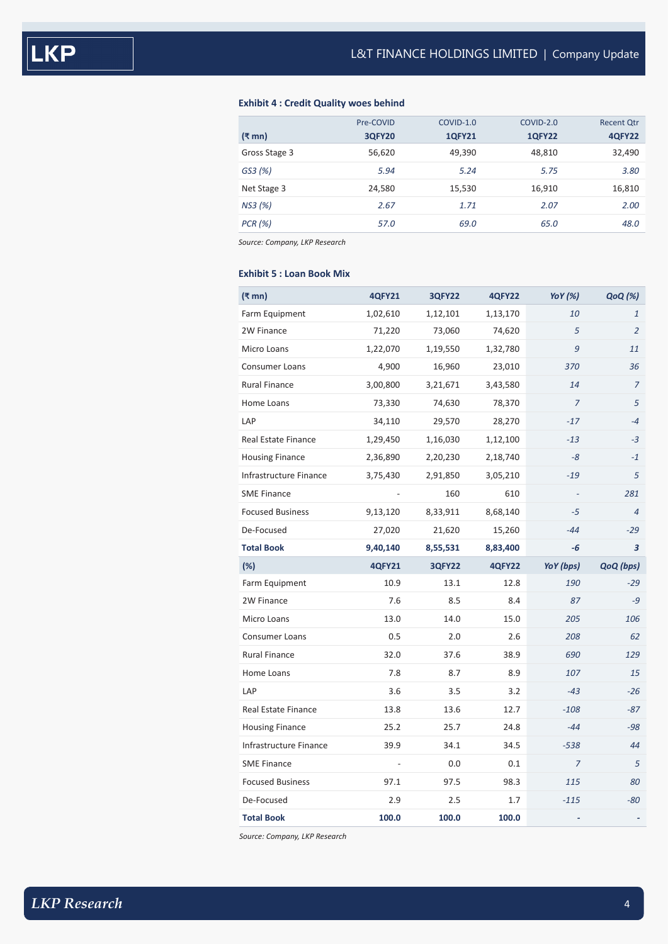# **Exhibit 4 : Credit Quality woes behind**

|               | Pre-COVID     | COVID-1.0     | COVID-2.0     | <b>Recent Qtr</b> |
|---------------|---------------|---------------|---------------|-------------------|
| (₹ mn)        | <b>3QFY20</b> | <b>1QFY21</b> | <b>1QFY22</b> | <b>4QFY22</b>     |
| Gross Stage 3 | 56,620        | 49,390        | 48,810        | 32,490            |
| GS3 (%)       | 5.94          | 5.24          | 5.75          | 3.80              |
| Net Stage 3   | 24,580        | 15,530        | 16,910        | 16,810            |
| NS3 (%)       | 2.67          | 1.71          | 2.07          | 2.00              |
| PCR (%)       | 57.0          | 69.0          | 65.0          | 48.0              |

*Source: Company, LKP Research*

# **Exhibit 5 : Loan Book Mix**

| $(\bar{\bar{\mathbf{x}}}$ mn) | <b>4QFY21</b> | <b>3QFY22</b> | <b>4QFY22</b> | YoY (%)        | QoQ (%)        |
|-------------------------------|---------------|---------------|---------------|----------------|----------------|
| Farm Equipment                | 1,02,610      | 1,12,101      | 1,13,170      | 10             | $\mathbf{1}$   |
| 2W Finance                    | 71,220        | 73,060        | 74,620        | 5              | $\overline{2}$ |
| Micro Loans                   | 1,22,070      | 1,19,550      | 1,32,780      | 9              | 11             |
| <b>Consumer Loans</b>         | 4,900         | 16,960        | 23,010        | 370            | 36             |
| <b>Rural Finance</b>          | 3,00,800      | 3,21,671      | 3,43,580      | 14             | $\overline{7}$ |
| Home Loans                    | 73,330        | 74,630        | 78,370        | $\overline{7}$ | 5              |
| LAP                           | 34,110        | 29,570        | 28,270        | $-17$          | $-4$           |
| Real Estate Finance           | 1,29,450      | 1,16,030      | 1,12,100      | $-13$          | $-3$           |
| <b>Housing Finance</b>        | 2,36,890      | 2,20,230      | 2,18,740      | -8             | $-1$           |
| Infrastructure Finance        | 3,75,430      | 2,91,850      | 3,05,210      | $-19$          | 5              |
| <b>SME Finance</b>            |               | 160           | 610           | $\sim$         | 281            |
| <b>Focused Business</b>       | 9,13,120      | 8,33,911      | 8,68,140      | $-5$           | $\overline{4}$ |
| De-Focused                    | 27,020        | 21,620        | 15,260        | $-44$          | $-29$          |
| <b>Total Book</b>             | 9,40,140      | 8,55,531      | 8,83,400      | -6             | 3              |
|                               |               |               |               |                |                |
| (%)                           | <b>4QFY21</b> | <b>3QFY22</b> | <b>4QFY22</b> | YoY (bps)      | QoQ (bps)      |
| Farm Equipment                | 10.9          | 13.1          | 12.8          | 190            | $-29$          |
| 2W Finance                    | 7.6           | 8.5           | 8.4           | 87             | $-9$           |
| Micro Loans                   | 13.0          | 14.0          | 15.0          | 205            | 106            |
| <b>Consumer Loans</b>         | 0.5           | 2.0           | 2.6           | 208            | 62             |
| <b>Rural Finance</b>          | 32.0          | 37.6          | 38.9          | 690            | 129            |
| Home Loans                    | 7.8           | 8.7           | 8.9           | 107            | 15             |
| LAP                           | 3.6           | 3.5           | 3.2           | $-43$          | $-26$          |
| <b>Real Estate Finance</b>    | 13.8          | 13.6          | 12.7          | $-108$         | $-87$          |
| <b>Housing Finance</b>        | 25.2          | 25.7          | 24.8          | $-44$          | $-98$          |
| Infrastructure Finance        | 39.9          | 34.1          | 34.5          | $-538$         | 44             |
| <b>SME Finance</b>            |               | 0.0           | 0.1           | $\overline{7}$ | 5              |
| <b>Focused Business</b>       | 97.1          | 97.5          | 98.3          | 115            | 80             |
| De-Focused                    | 2.9           | 2.5           | 1.7           | $-115$         | -80            |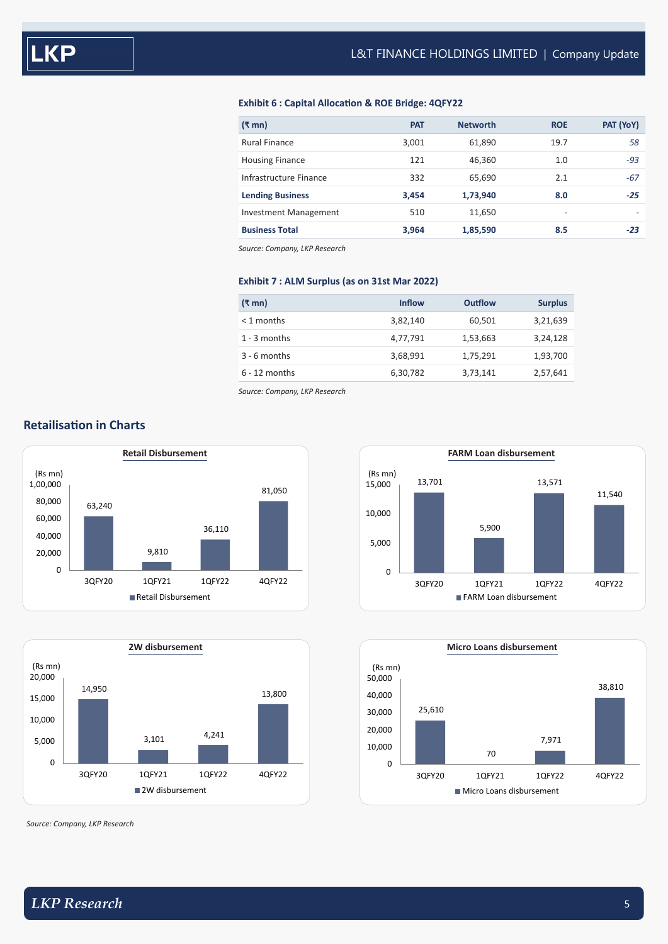# **Exhibit 6 : Capital Allocation & ROE Bridge: 4QFY22**

| $(3 \text{ mm})$        | <b>PAT</b> | <b>Networth</b> | <b>ROE</b> | PAT (YoY) |
|-------------------------|------------|-----------------|------------|-----------|
| <b>Rural Finance</b>    | 3,001      | 61,890          | 19.7       | 58        |
| <b>Housing Finance</b>  | 121        | 46,360          | 1.0        | $-93$     |
| Infrastructure Finance  | 332        | 65,690          | 2.1        | $-67$     |
| <b>Lending Business</b> | 3,454      | 1,73,940        | 8.0        | $-25$     |
| Investment Management   | 510        | 11,650          | ٠          |           |
| <b>Business Total</b>   | 3,964      | 1,85,590        | 8.5        | $-23$     |

*Source: Company, LKP Research*

# **Exhibit 7 : ALM Surplus (as on 31st Mar 2022)**

| (₹ mn)          | <b>Inflow</b> | <b>Outflow</b> | <b>Surplus</b> |
|-----------------|---------------|----------------|----------------|
| $<$ 1 months    | 3,82,140      | 60,501         | 3,21,639       |
| $1 - 3$ months  | 4,77,791      | 1,53,663       | 3,24,128       |
| $3 - 6$ months  | 3,68,991      | 1,75,291       | 1,93,700       |
| $6 - 12$ months | 6,30,782      | 3,73,141       | 2,57,641       |

*Source: Company, LKP Research*





*Source: Company, LKP Research*





# **Retailisation in Charts**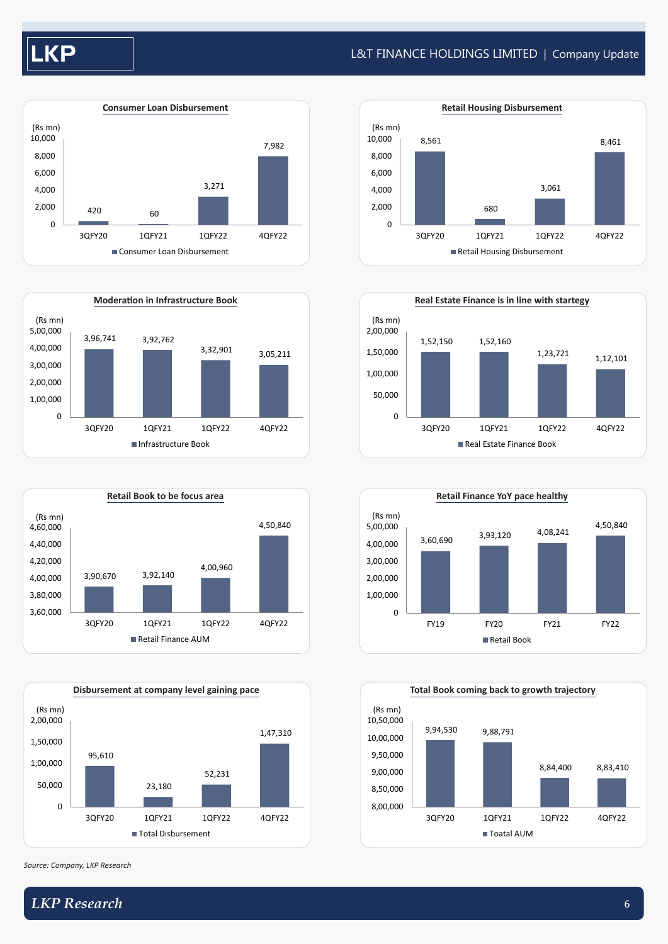# L&T FINANCE HOLDINGS LIMITED | Company Update









*Source: Company, LKP Research*









# *LKP Research* 6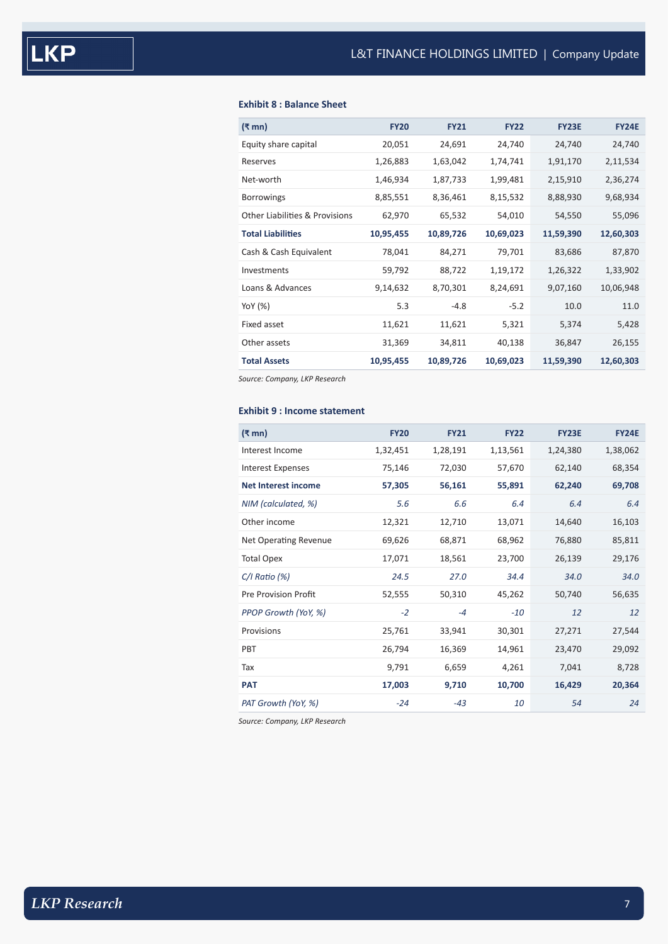# **Exhibit 8 : Balance Sheet**

| (₹ mn)<br><b>FY20</b><br><b>FY21</b><br><b>FY22</b><br><b>FY23E</b><br><b>FY24E</b><br>Equity share capital<br>20,051<br>24,691<br>24,740<br>24,740<br>24,740<br>1,26,883<br>1,63,042<br>1,74,741<br>1,91,170<br>2,11,534<br>Reserves<br>2,36,274<br>Net-worth<br>1,46,934<br>1,87,733<br>2,15,910<br>1,99,481<br>8,85,551<br>8,36,461<br>8,15,532<br>8,88,930<br>9,68,934<br><b>Borrowings</b><br><b>Other Liabilities &amp; Provisions</b><br>54,010<br>55,096<br>62,970<br>65,532<br>54,550<br><b>Total Liabilities</b><br>10,95,455<br>10,69,023<br>11,59,390<br>12,60,303<br>10,89,726<br>Cash & Cash Equivalent<br>78,041<br>79,701<br>83,686<br>87,870<br>84,271<br>1,26,322<br>1,33,902<br>Investments<br>59,792<br>88,722<br>1,19,172<br>Loans & Advances<br>9,07,160<br>9,14,632<br>8,70,301<br>8,24,691<br>10,06,948<br>5.3<br>$-4.8$<br>10.0<br>11.0<br>YoY (%)<br>$-5.2$<br>Fixed asset<br>5,374<br>11,621<br>11,621<br>5,428<br>5,321<br>Other assets<br>34,811<br>26,155<br>31,369<br>40,138<br>36,847<br><b>Total Assets</b><br>10,69,023<br>11,59,390<br>10,95,455<br>10,89,726<br>12,60,303 |  |  |  |
|---------------------------------------------------------------------------------------------------------------------------------------------------------------------------------------------------------------------------------------------------------------------------------------------------------------------------------------------------------------------------------------------------------------------------------------------------------------------------------------------------------------------------------------------------------------------------------------------------------------------------------------------------------------------------------------------------------------------------------------------------------------------------------------------------------------------------------------------------------------------------------------------------------------------------------------------------------------------------------------------------------------------------------------------------------------------------------------------------------------|--|--|--|
|                                                                                                                                                                                                                                                                                                                                                                                                                                                                                                                                                                                                                                                                                                                                                                                                                                                                                                                                                                                                                                                                                                               |  |  |  |
|                                                                                                                                                                                                                                                                                                                                                                                                                                                                                                                                                                                                                                                                                                                                                                                                                                                                                                                                                                                                                                                                                                               |  |  |  |
|                                                                                                                                                                                                                                                                                                                                                                                                                                                                                                                                                                                                                                                                                                                                                                                                                                                                                                                                                                                                                                                                                                               |  |  |  |
|                                                                                                                                                                                                                                                                                                                                                                                                                                                                                                                                                                                                                                                                                                                                                                                                                                                                                                                                                                                                                                                                                                               |  |  |  |
|                                                                                                                                                                                                                                                                                                                                                                                                                                                                                                                                                                                                                                                                                                                                                                                                                                                                                                                                                                                                                                                                                                               |  |  |  |
|                                                                                                                                                                                                                                                                                                                                                                                                                                                                                                                                                                                                                                                                                                                                                                                                                                                                                                                                                                                                                                                                                                               |  |  |  |
|                                                                                                                                                                                                                                                                                                                                                                                                                                                                                                                                                                                                                                                                                                                                                                                                                                                                                                                                                                                                                                                                                                               |  |  |  |
|                                                                                                                                                                                                                                                                                                                                                                                                                                                                                                                                                                                                                                                                                                                                                                                                                                                                                                                                                                                                                                                                                                               |  |  |  |
|                                                                                                                                                                                                                                                                                                                                                                                                                                                                                                                                                                                                                                                                                                                                                                                                                                                                                                                                                                                                                                                                                                               |  |  |  |
|                                                                                                                                                                                                                                                                                                                                                                                                                                                                                                                                                                                                                                                                                                                                                                                                                                                                                                                                                                                                                                                                                                               |  |  |  |
|                                                                                                                                                                                                                                                                                                                                                                                                                                                                                                                                                                                                                                                                                                                                                                                                                                                                                                                                                                                                                                                                                                               |  |  |  |
|                                                                                                                                                                                                                                                                                                                                                                                                                                                                                                                                                                                                                                                                                                                                                                                                                                                                                                                                                                                                                                                                                                               |  |  |  |
|                                                                                                                                                                                                                                                                                                                                                                                                                                                                                                                                                                                                                                                                                                                                                                                                                                                                                                                                                                                                                                                                                                               |  |  |  |
|                                                                                                                                                                                                                                                                                                                                                                                                                                                                                                                                                                                                                                                                                                                                                                                                                                                                                                                                                                                                                                                                                                               |  |  |  |

*Source: Company, LKP Research*

# **Exhibit 9 : Income statement**

| Interest Income<br>1,28,191<br>1,13,561<br>1,24,380<br>1,38,062<br>1,32,451<br>72,030<br>57,670<br>62,140<br>68,354<br><b>Interest Expenses</b><br>75,146<br>62,240<br>69,708<br><b>Net Interest income</b><br>57,305<br>56,161<br>55,891<br>5.6<br>6.6<br>6.4<br>6.4<br>6.4<br>NIM (calculated, %)<br>Other income<br>16,103<br>12,321<br>12,710<br>13,071<br>14,640<br>69,626<br>68,871<br>68,962<br>76,880<br>85,811<br>Net Operating Revenue<br>23,700<br>18,561<br>26,139<br>29,176<br><b>Total Opex</b><br>17,071<br>27.0<br>34.0<br>$C/I$ Ratio (%)<br>24.5<br>34.4<br>34.0<br><b>Pre Provision Profit</b><br>50,310<br>45,262<br>50,740<br>56,635<br>52,555<br>PPOP Growth (YoY, %)<br>$-2$<br>$-10$<br>12<br>12<br>$-4$<br>Provisions<br>25,761<br>33,941<br>30,301<br>27,271<br>27,544<br>16,369<br>14,961<br>29,092<br><b>PBT</b><br>26,794<br>23,470<br>6,659<br>9,791<br>4,261<br>7,041<br>8,728<br>Tax<br>17,003<br>9,710<br>10,700<br>16,429<br>20,364<br><b>PAT</b><br>PAT Growth (YoY, %)<br>$-24$<br>$-43$<br>10<br>24<br>54 | $(\bar{\bar{\mathbf{x}}}$ mn) | <b>FY20</b> | <b>FY21</b> | <b>FY22</b> | <b>FY23E</b> | <b>FY24E</b> |
|------------------------------------------------------------------------------------------------------------------------------------------------------------------------------------------------------------------------------------------------------------------------------------------------------------------------------------------------------------------------------------------------------------------------------------------------------------------------------------------------------------------------------------------------------------------------------------------------------------------------------------------------------------------------------------------------------------------------------------------------------------------------------------------------------------------------------------------------------------------------------------------------------------------------------------------------------------------------------------------------------------------------------------------------|-------------------------------|-------------|-------------|-------------|--------------|--------------|
|                                                                                                                                                                                                                                                                                                                                                                                                                                                                                                                                                                                                                                                                                                                                                                                                                                                                                                                                                                                                                                                |                               |             |             |             |              |              |
|                                                                                                                                                                                                                                                                                                                                                                                                                                                                                                                                                                                                                                                                                                                                                                                                                                                                                                                                                                                                                                                |                               |             |             |             |              |              |
|                                                                                                                                                                                                                                                                                                                                                                                                                                                                                                                                                                                                                                                                                                                                                                                                                                                                                                                                                                                                                                                |                               |             |             |             |              |              |
|                                                                                                                                                                                                                                                                                                                                                                                                                                                                                                                                                                                                                                                                                                                                                                                                                                                                                                                                                                                                                                                |                               |             |             |             |              |              |
|                                                                                                                                                                                                                                                                                                                                                                                                                                                                                                                                                                                                                                                                                                                                                                                                                                                                                                                                                                                                                                                |                               |             |             |             |              |              |
|                                                                                                                                                                                                                                                                                                                                                                                                                                                                                                                                                                                                                                                                                                                                                                                                                                                                                                                                                                                                                                                |                               |             |             |             |              |              |
|                                                                                                                                                                                                                                                                                                                                                                                                                                                                                                                                                                                                                                                                                                                                                                                                                                                                                                                                                                                                                                                |                               |             |             |             |              |              |
|                                                                                                                                                                                                                                                                                                                                                                                                                                                                                                                                                                                                                                                                                                                                                                                                                                                                                                                                                                                                                                                |                               |             |             |             |              |              |
|                                                                                                                                                                                                                                                                                                                                                                                                                                                                                                                                                                                                                                                                                                                                                                                                                                                                                                                                                                                                                                                |                               |             |             |             |              |              |
|                                                                                                                                                                                                                                                                                                                                                                                                                                                                                                                                                                                                                                                                                                                                                                                                                                                                                                                                                                                                                                                |                               |             |             |             |              |              |
|                                                                                                                                                                                                                                                                                                                                                                                                                                                                                                                                                                                                                                                                                                                                                                                                                                                                                                                                                                                                                                                |                               |             |             |             |              |              |
|                                                                                                                                                                                                                                                                                                                                                                                                                                                                                                                                                                                                                                                                                                                                                                                                                                                                                                                                                                                                                                                |                               |             |             |             |              |              |
|                                                                                                                                                                                                                                                                                                                                                                                                                                                                                                                                                                                                                                                                                                                                                                                                                                                                                                                                                                                                                                                |                               |             |             |             |              |              |
|                                                                                                                                                                                                                                                                                                                                                                                                                                                                                                                                                                                                                                                                                                                                                                                                                                                                                                                                                                                                                                                |                               |             |             |             |              |              |
|                                                                                                                                                                                                                                                                                                                                                                                                                                                                                                                                                                                                                                                                                                                                                                                                                                                                                                                                                                                                                                                |                               |             |             |             |              |              |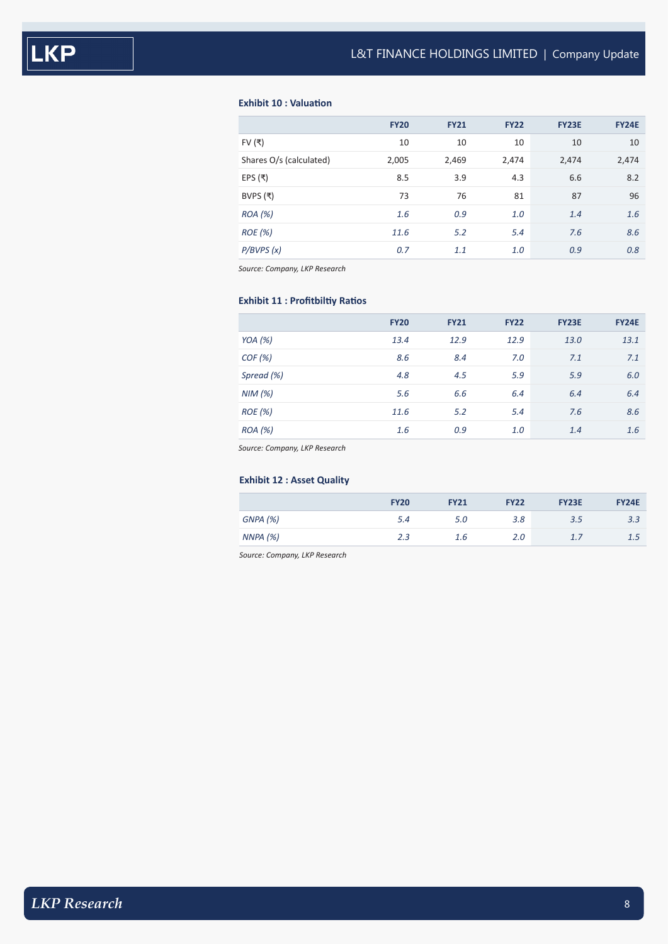# **Exhibit 10 : Valuation**

|                         | <b>FY20</b> | <b>FY21</b> | <b>FY22</b> | <b>FY23E</b> | <b>FY24E</b> |
|-------------------------|-------------|-------------|-------------|--------------|--------------|
| FV $($ ₹)               | 10          | 10          | 10          | 10           | 10           |
| Shares O/s (calculated) | 2,005       | 2,469       | 2,474       | 2,474        | 2,474        |
| EPS $($ ₹)              | 8.5         | 3.9         | 4.3         | 6.6          | 8.2          |
| BVPS $($ ₹)             | 73          | 76          | 81          | 87           | 96           |
| ROA (%)                 | 1.6         | 0.9         | 1.0         | 1.4          | 1.6          |
| ROE(%)                  | 11.6        | 5.2         | 5.4         | 7.6          | 8.6          |
| P/BVPS(x)               | 0.7         | 1.1         | 1.0         | 0.9          | 0.8          |

*Source: Company, LKP Research*

# **Exhibit 11 : Profitbiltiy Ratios**

|            | <b>FY20</b> | <b>FY21</b> | <b>FY22</b> | <b>FY23E</b> | <b>FY24E</b> |
|------------|-------------|-------------|-------------|--------------|--------------|
| YOA $(%)$  | 13.4        | 12.9        | 12.9        | 13.0         | 13.1         |
| COF(%)     | 8.6         | 8.4         | 7.0         | 7.1          | 7.1          |
| Spread (%) | 4.8         | 4.5         | 5.9         | 5.9          | 6.0          |
| NIM(%)     | 5.6         | 6.6         | 6.4         | 6.4          | 6.4          |
| ROE(%)     | 11.6        | 5.2         | 5.4         | 7.6          | 8.6          |
| ROA (%)    | 1.6         | 0.9         | 1.0         | 1.4          | 1.6          |

*Source: Company, LKP Research*

# **Exhibit 12 : Asset Quality**

|          | <b>FY20</b> | <b>FY21</b> | <b>FY22</b> | <b>FY23E</b> | <b>FY24E</b> |
|----------|-------------|-------------|-------------|--------------|--------------|
| GNPA (%) | 5.4         | 5.0         | 3.8         | 3.5          | 3.3          |
| NNPA(%)  | 2.3         | 1.6         | 2.0         | 1.7          | 1.5          |